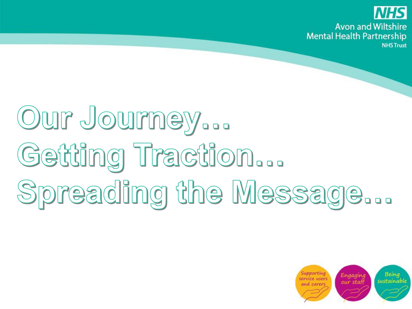

# Our Journey... Getting Traction... Spreading the Message...

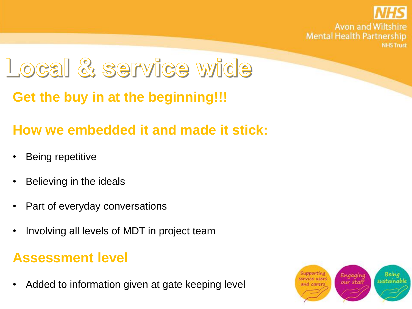

### Local & service wide

**Get the buy in at the beginning!!!**

#### **How we embedded it and made it stick:**

- Being repetitive
- Believing in the ideals
- Part of everyday conversations
- Involving all levels of MDT in project team

#### **Assessment level**

• Added to information given at gate keeping level

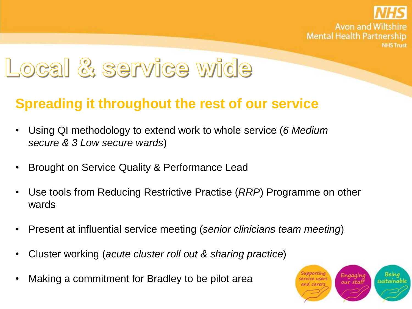

### Local & service wide

#### **Spreading it throughout the rest of our service**

- Using QI methodology to extend work to whole service (*6 Medium secure & 3 Low secure wards*)
- Brought on Service Quality & Performance Lead
- Use tools from Reducing Restrictive Practise (*RRP*) Programme on other wards
- Present at influential service meeting (*senior clinicians team meeting*)
- Cluster working (*acute cluster roll out & sharing practice*)
- Making a commitment for Bradley to be pilot area

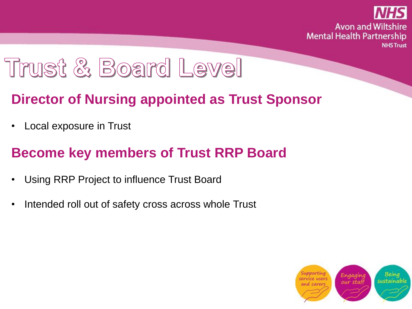

### Trust & Board Level

#### **Director of Nursing appointed as Trust Sponsor**

Local exposure in Trust

#### **Become key members of Trust RRP Board**

- Using RRP Project to influence Trust Board
- Intended roll out of safety cross across whole Trust

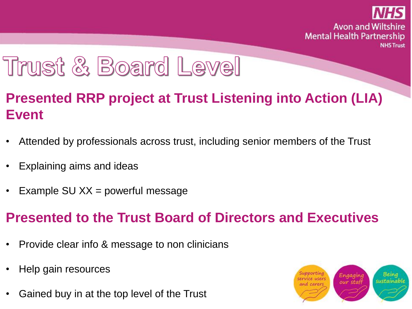

### Trust & Board Level

#### **Presented RRP project at Trust Listening into Action (LIA) Event**

- Attended by professionals across trust, including senior members of the Trust
- Explaining aims and ideas
- Example SU  $XX =$  powerful message

#### **Presented to the Trust Board of Directors and Executives**

- Provide clear info & message to non clinicians
- Help gain resources
- Gained buy in at the top level of the Trust